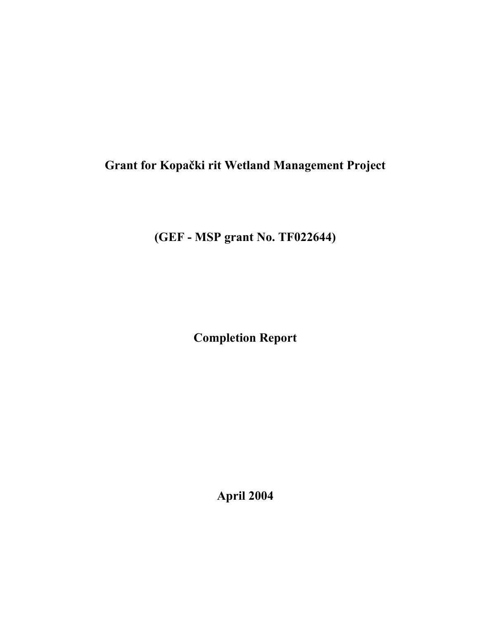# **Grant for Kopački rit Wetland Management Project**

**(GEF - MSP grant No. TF022644)**

**Completion Report**

**April 2004**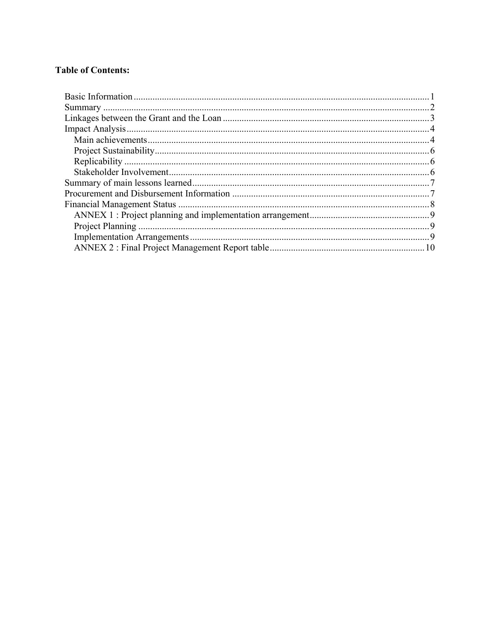### **Table of Contents:**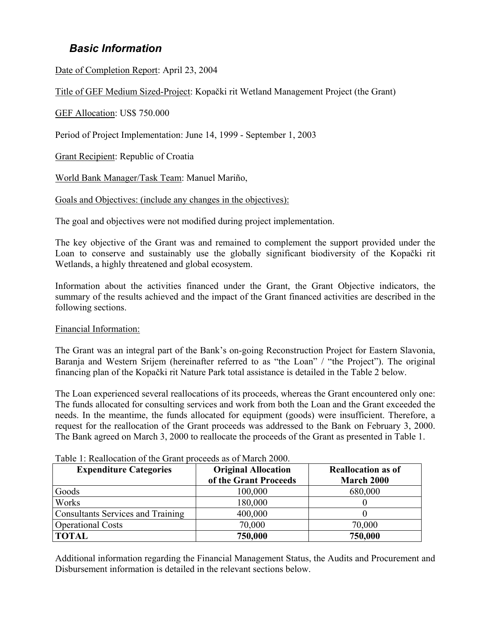# <span id="page-2-0"></span>*Basic Information*

Date of Completion Report: April 23, 2004

Title of GEF Medium Sized-Project: Kopački rit Wetland Management Project (the Grant)

GEF Allocation: US\$ 750.000

Period of Project Implementation: June 14, 1999 - September 1, 2003

Grant Recipient: Republic of Croatia

World Bank Manager/Task Team: Manuel Mariño,

Goals and Objectives: (include any changes in the objectives):

The goal and objectives were not modified during project implementation.

The key objective of the Grant was and remained to complement the support provided under the Loan to conserve and sustainably use the globally significant biodiversity of the Kopački rit Wetlands, a highly threatened and global ecosystem.

Information about the activities financed under the Grant, the Grant Objective indicators, the summary of the results achieved and the impact of the Grant financed activities are described in the following sections.

Financial Information:

The Grant was an integral part of the Bank's on-going Reconstruction Project for Eastern Slavonia, Baranja and Western Srijem (hereinafter referred to as "the Loan" / "the Project"). The original financing plan of the Kopački rit Nature Park total assistance is detailed in the Table 2 below.

The Loan experienced several reallocations of its proceeds, whereas the Grant encountered only one: The funds allocated for consulting services and work from both the Loan and the Grant exceeded the needs. In the meantime, the funds allocated for equipment (goods) were insufficient. Therefore, a request for the reallocation of the Grant proceeds was addressed to the Bank on February 3, 2000. The Bank agreed on March 3, 2000 to reallocate the proceeds of the Grant as presented in Table 1.

| <b>Expenditure Categories</b>            | <b>Original Allocation</b><br>of the Grant Proceeds | <b>Reallocation as of</b><br>March 2000 |
|------------------------------------------|-----------------------------------------------------|-----------------------------------------|
| Goods                                    | 100,000                                             | 680,000                                 |
| Works                                    | 180,000                                             |                                         |
| <b>Consultants Services and Training</b> | 400,000                                             |                                         |
| <b>Operational Costs</b>                 | 70,000                                              | 70,000                                  |
| <b>TOTAL</b>                             | 750,000                                             | 750,000                                 |

Table 1: Reallocation of the Grant proceeds as of March 2000.

Additional information regarding the Financial Management Status, the Audits and Procurement and Disbursement information is detailed in the relevant sections below.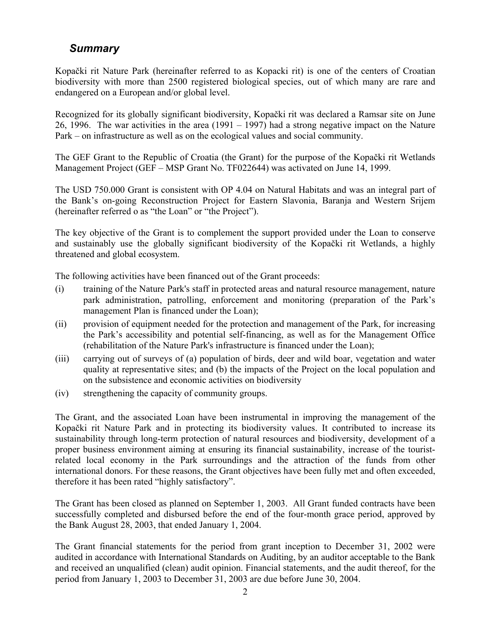# <span id="page-3-0"></span>*Summary*

Kopački rit Nature Park (hereinafter referred to as Kopacki rit) is one of the centers of Croatian biodiversity with more than 2500 registered biological species, out of which many are rare and endangered on a European and/or global level.

Recognized for its globally significant biodiversity, Kopački rit was declared a Ramsar site on June 26, 1996. The war activities in the area (1991 – 1997) had a strong negative impact on the Nature Park – on infrastructure as well as on the ecological values and social community.

The GEF Grant to the Republic of Croatia (the Grant) for the purpose of the Kopački rit Wetlands Management Project (GEF – MSP Grant No. TF022644) was activated on June 14, 1999.

The USD 750.000 Grant is consistent with OP 4.04 on Natural Habitats and was an integral part of the Bank's on-going Reconstruction Project for Eastern Slavonia, Baranja and Western Srijem (hereinafter referred o as "the Loan" or "the Project").

The key objective of the Grant is to complement the support provided under the Loan to conserve and sustainably use the globally significant biodiversity of the Kopački rit Wetlands, a highly threatened and global ecosystem.

The following activities have been financed out of the Grant proceeds:

- (i) training of the Nature Park's staff in protected areas and natural resource management, nature park administration, patrolling, enforcement and monitoring (preparation of the Park's management Plan is financed under the Loan);
- (ii) provision of equipment needed for the protection and management of the Park, for increasing the Park's accessibility and potential self-financing, as well as for the Management Office (rehabilitation of the Nature Park's infrastructure is financed under the Loan);
- (iii) carrying out of surveys of (a) population of birds, deer and wild boar, vegetation and water quality at representative sites; and (b) the impacts of the Project on the local population and on the subsistence and economic activities on biodiversity
- (iv) strengthening the capacity of community groups.

The Grant, and the associated Loan have been instrumental in improving the management of the Kopački rit Nature Park and in protecting its biodiversity values. It contributed to increase its sustainability through long-term protection of natural resources and biodiversity, development of a proper business environment aiming at ensuring its financial sustainability, increase of the touristrelated local economy in the Park surroundings and the attraction of the funds from other international donors. For these reasons, the Grant objectives have been fully met and often exceeded, therefore it has been rated "highly satisfactory".

The Grant has been closed as planned on September 1, 2003. All Grant funded contracts have been successfully completed and disbursed before the end of the four-month grace period, approved by the Bank August 28, 2003, that ended January 1, 2004.

The Grant financial statements for the period from grant inception to December 31, 2002 were audited in accordance with International Standards on Auditing, by an auditor acceptable to the Bank and received an unqualified (clean) audit opinion. Financial statements, and the audit thereof, for the period from January 1, 2003 to December 31, 2003 are due before June 30, 2004.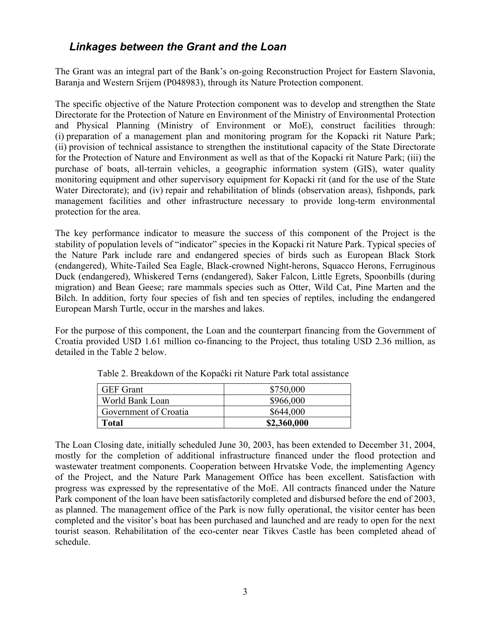# <span id="page-4-0"></span>*Linkages between the Grant and the Loan*

The Grant was an integral part of the Bank's on-going Reconstruction Project for Eastern Slavonia, Baranja and Western Srijem (P048983), through its Nature Protection component.

The specific objective of the Nature Protection component was to develop and strengthen the State Directorate for the Protection of Nature en Environment of the Ministry of Environmental Protection and Physical Planning (Ministry of Environment or MoE), construct facilities through: (i) preparation of a management plan and monitoring program for the Kopacki rit Nature Park; (ii) provision of technical assistance to strengthen the institutional capacity of the State Directorate for the Protection of Nature and Environment as well as that of the Kopacki rit Nature Park; (iii) the purchase of boats, all-terrain vehicles, a geographic information system (GIS), water quality monitoring equipment and other supervisory equipment for Kopacki rit (and for the use of the State Water Directorate); and (iv) repair and rehabilitation of blinds (observation areas), fishponds, park management facilities and other infrastructure necessary to provide long-term environmental protection for the area.

The key performance indicator to measure the success of this component of the Project is the stability of population levels of "indicator" species in the Kopacki rit Nature Park. Typical species of the Nature Park include rare and endangered species of birds such as European Black Stork (endangered), White-Tailed Sea Eagle, Black-crowned Night-herons, Squacco Herons, Ferruginous Duck (endangered), Whiskered Terns (endangered), Saker Falcon, Little Egrets, Spoonbills (during migration) and Bean Geese; rare mammals species such as Otter, Wild Cat, Pine Marten and the Bilch. In addition, forty four species of fish and ten species of reptiles, including the endangered European Marsh Turtle, occur in the marshes and lakes.

For the purpose of this component, the Loan and the counterpart financing from the Government of Croatia provided USD 1.61 million co-financing to the Project, thus totaling USD 2.36 million, as detailed in the Table 2 below.

| <b>GEF</b> Grant      | \$750,000   |
|-----------------------|-------------|
| World Bank Loan       | \$966,000   |
| Government of Croatia | \$644,000   |
| Total                 | \$2,360,000 |

Table 2. Breakdown of the Kopački rit Nature Park total assistance

The Loan Closing date, initially scheduled June 30, 2003, has been extended to December 31, 2004, mostly for the completion of additional infrastructure financed under the flood protection and wastewater treatment components. Cooperation between Hrvatske Vode, the implementing Agency of the Project, and the Nature Park Management Office has been excellent. Satisfaction with progress was expressed by the representative of the MoE. All contracts financed under the Nature Park component of the loan have been satisfactorily completed and disbursed before the end of 2003, as planned. The management office of the Park is now fully operational, the visitor center has been completed and the visitor's boat has been purchased and launched and are ready to open for the next tourist season. Rehabilitation of the eco-center near Tikves Castle has been completed ahead of schedule.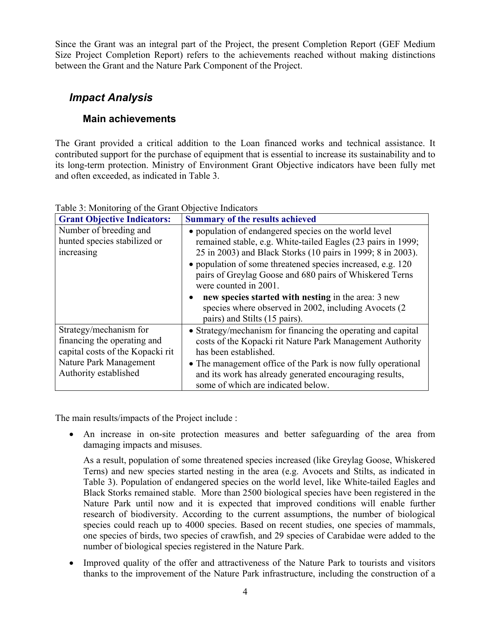Since the Grant was an integral part of the Project, the present Completion Report (GEF Medium Size Project Completion Report) refers to the achievements reached without making distinctions between the Grant and the Nature Park Component of the Project.

# <span id="page-5-1"></span><span id="page-5-0"></span>*Impact Analysis*

## **Main achievements**

The Grant provided a critical addition to the Loan financed works and technical assistance. It contributed support for the purchase of equipment that is essential to increase its sustainability and to its long-term protection. Ministry of Environment Grant Objective indicators have been fully met and often exceeded, as indicated in Table 3.

| <b>Grant Objective Indicators:</b> | <b>Summary of the results achieved</b>                       |  |  |  |  |
|------------------------------------|--------------------------------------------------------------|--|--|--|--|
| Number of breeding and             | • population of endangered species on the world level        |  |  |  |  |
| hunted species stabilized or       | remained stable, e.g. White-tailed Eagles (23 pairs in 1999; |  |  |  |  |
| increasing                         | 25 in 2003) and Black Storks (10 pairs in 1999; 8 in 2003).  |  |  |  |  |
|                                    | • population of some threatened species increased, e.g. 120  |  |  |  |  |
|                                    | pairs of Greylag Goose and 680 pairs of Whiskered Terns      |  |  |  |  |
|                                    | were counted in 2001.                                        |  |  |  |  |
|                                    | new species started with nesting in the area: 3 new          |  |  |  |  |
|                                    | species where observed in 2002, including Avocets (2)        |  |  |  |  |
|                                    | pairs) and Stilts (15 pairs).                                |  |  |  |  |
| Strategy/mechanism for             | • Strategy/mechanism for financing the operating and capital |  |  |  |  |
| financing the operating and        | costs of the Kopacki rit Nature Park Management Authority    |  |  |  |  |
| capital costs of the Kopacki rit   | has been established.                                        |  |  |  |  |
| Nature Park Management             | • The management office of the Park is now fully operational |  |  |  |  |
| Authority established              | and its work has already generated encouraging results,      |  |  |  |  |
|                                    | some of which are indicated below.                           |  |  |  |  |

Table 3: Monitoring of the Grant Objective Indicators

The main results/impacts of the Project include :

• An increase in on-site protection measures and better safeguarding of the area from damaging impacts and misuses.

As a result, population of some threatened species increased (like Greylag Goose, Whiskered Terns) and new species started nesting in the area (e.g. Avocets and Stilts, as indicated in Table 3). Population of endangered species on the world level, like White-tailed Eagles and Black Storks remained stable. More than 2500 biological species have been registered in the Nature Park until now and it is expected that improved conditions will enable further research of biodiversity. According to the current assumptions, the number of biological species could reach up to 4000 species. Based on recent studies, one species of mammals, one species of birds, two species of crawfish, and 29 species of Carabidae were added to the number of biological species registered in the Nature Park.

Improved quality of the offer and attractiveness of the Nature Park to tourists and visitors thanks to the improvement of the Nature Park infrastructure, including the construction of a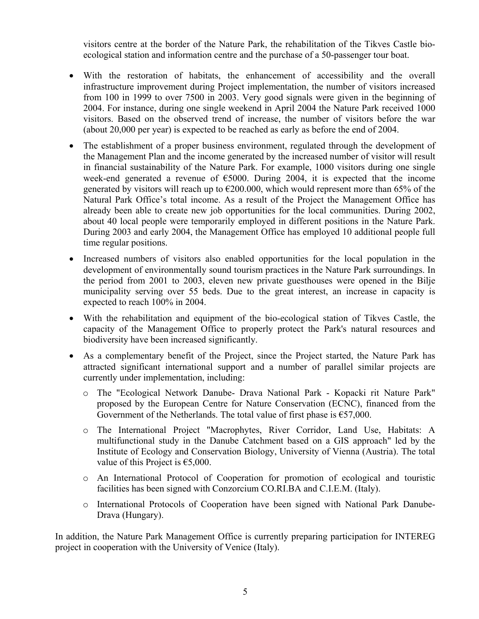visitors centre at the border of the Nature Park, the rehabilitation of the Tikves Castle bioecological station and information centre and the purchase of a 50-passenger tour boat.

- With the restoration of habitats, the enhancement of accessibility and the overall infrastructure improvement during Project implementation, the number of visitors increased from 100 in 1999 to over 7500 in 2003. Very good signals were given in the beginning of 2004. For instance, during one single weekend in April 2004 the Nature Park received 1000 visitors. Based on the observed trend of increase, the number of visitors before the war (about 20,000 per year) is expected to be reached as early as before the end of 2004.
- The establishment of a proper business environment, regulated through the development of the Management Plan and the income generated by the increased number of visitor will result in financial sustainability of the Nature Park. For example, 1000 visitors during one single week-end generated a revenue of  $\epsilon$ 5000. During 2004, it is expected that the income generated by visitors will reach up to  $\epsilon$ 200.000, which would represent more than 65% of the Natural Park Office's total income. As a result of the Project the Management Office has already been able to create new job opportunities for the local communities. During 2002, about 40 local people were temporarily employed in different positions in the Nature Park. During 2003 and early 2004, the Management Office has employed 10 additional people full time regular positions.
- Increased numbers of visitors also enabled opportunities for the local population in the development of environmentally sound tourism practices in the Nature Park surroundings. In the period from 2001 to 2003, eleven new private guesthouses were opened in the Bilje municipality serving over 55 beds. Due to the great interest, an increase in capacity is expected to reach 100% in 2004.
- With the rehabilitation and equipment of the bio-ecological station of Tikves Castle, the capacity of the Management Office to properly protect the Park's natural resources and biodiversity have been increased significantly.
- As a complementary benefit of the Project, since the Project started, the Nature Park has attracted significant international support and a number of parallel similar projects are currently under implementation, including:
	- o The "Ecological Network Danube- Drava National Park Kopacki rit Nature Park" proposed by the European Centre for Nature Conservation (ECNC), financed from the Government of the Netherlands. The total value of first phase is  $\epsilon$ 57,000.
	- o The International Project "Macrophytes, River Corridor, Land Use, Habitats: A multifunctional study in the Danube Catchment based on a GIS approach" led by the Institute of Ecology and Conservation Biology, University of Vienna (Austria). The total value of this Project is  $€5,000$ .
	- o An International Protocol of Cooperation for promotion of ecological and touristic facilities has been signed with Conzorcium CO.RI.BA and C.I.E.M. (Italy).
	- o International Protocols of Cooperation have been signed with National Park Danube-Drava (Hungary).

In addition, the Nature Park Management Office is currently preparing participation for INTEREG project in cooperation with the University of Venice (Italy).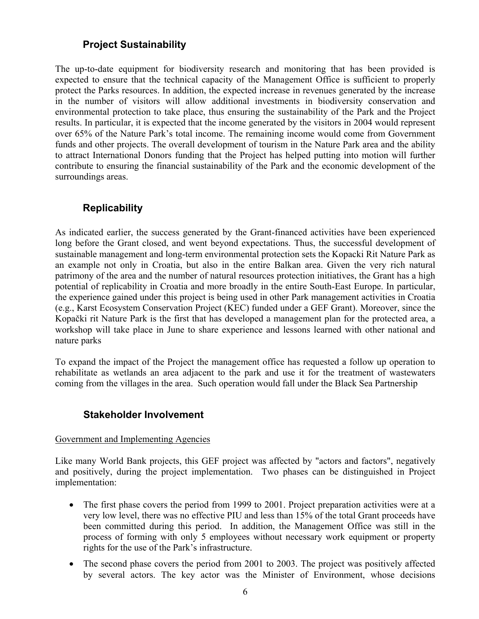### **Project Sustainability**

<span id="page-7-0"></span>The up-to-date equipment for biodiversity research and monitoring that has been provided is expected to ensure that the technical capacity of the Management Office is sufficient to properly protect the Parks resources. In addition, the expected increase in revenues generated by the increase in the number of visitors will allow additional investments in biodiversity conservation and environmental protection to take place, thus ensuring the sustainability of the Park and the Project results. In particular, it is expected that the income generated by the visitors in 2004 would represent over 65% of the Nature Park's total income. The remaining income would come from Government funds and other projects. The overall development of tourism in the Nature Park area and the ability to attract International Donors funding that the Project has helped putting into motion will further contribute to ensuring the financial sustainability of the Park and the economic development of the surroundings areas.

### <span id="page-7-1"></span>**Replicability**

As indicated earlier, the success generated by the Grant-financed activities have been experienced long before the Grant closed, and went beyond expectations. Thus, the successful development of sustainable management and long-term environmental protection sets the Kopacki Rit Nature Park as an example not only in Croatia, but also in the entire Balkan area. Given the very rich natural patrimony of the area and the number of natural resources protection initiatives, the Grant has a high potential of replicability in Croatia and more broadly in the entire South-East Europe. In particular, the experience gained under this project is being used in other Park management activities in Croatia (e.g., Karst Ecosystem Conservation Project (KEC) funded under a GEF Grant). Moreover, since the Kopački rit Nature Park is the first that has developed a management plan for the protected area, a workshop will take place in June to share experience and lessons learned with other national and nature parks

To expand the impact of the Project the management office has requested a follow up operation to rehabilitate as wetlands an area adjacent to the park and use it for the treatment of wastewaters coming from the villages in the area. Such operation would fall under the Black Sea Partnership

### <span id="page-7-2"></span>**Stakeholder Involvement**

#### Government and Implementing Agencies

Like many World Bank projects, this GEF project was affected by "actors and factors", negatively and positively, during the project implementation. Two phases can be distinguished in Project implementation:

- The first phase covers the period from 1999 to 2001. Project preparation activities were at a very low level, there was no effective PIU and less than 15% of the total Grant proceeds have been committed during this period. In addition, the Management Office was still in the process of forming with only 5 employees without necessary work equipment or property rights for the use of the Park's infrastructure.
- The second phase covers the period from 2001 to 2003. The project was positively affected by several actors. The key actor was the Minister of Environment, whose decisions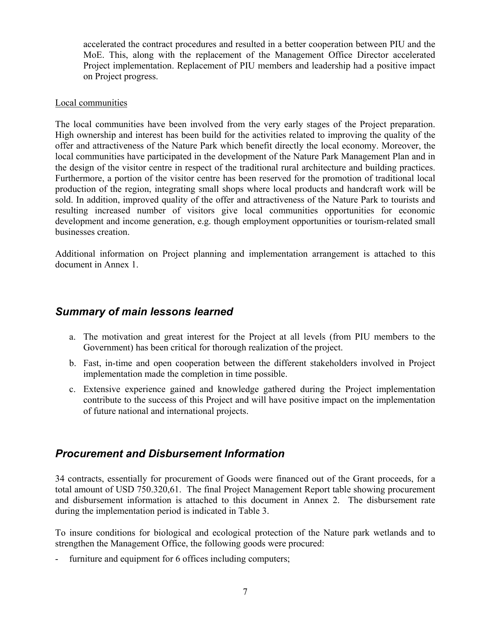accelerated the contract procedures and resulted in a better cooperation between PIU and the MoE. This, along with the replacement of the Management Office Director accelerated Project implementation. Replacement of PIU members and leadership had a positive impact on Project progress.

#### Local communities

The local communities have been involved from the very early stages of the Project preparation. High ownership and interest has been build for the activities related to improving the quality of the offer and attractiveness of the Nature Park which benefit directly the local economy. Moreover, the local communities have participated in the development of the Nature Park Management Plan and in the design of the visitor centre in respect of the traditional rural architecture and building practices. Furthermore, a portion of the visitor centre has been reserved for the promotion of traditional local production of the region, integrating small shops where local products and handcraft work will be sold. In addition, improved quality of the offer and attractiveness of the Nature Park to tourists and resulting increased number of visitors give local communities opportunities for economic development and income generation, e.g. though employment opportunities or tourism-related small businesses creation.

Additional information on Project planning and implementation arrangement is attached to this document in Annex 1.

### <span id="page-8-0"></span>*Summary of main lessons learned*

- a. The motivation and great interest for the Project at all levels (from PIU members to the Government) has been critical for thorough realization of the project.
- b. Fast, in-time and open cooperation between the different stakeholders involved in Project implementation made the completion in time possible.
- c. Extensive experience gained and knowledge gathered during the Project implementation contribute to the success of this Project and will have positive impact on the implementation of future national and international projects.

### <span id="page-8-1"></span>*Procurement and Disbursement Information*

34 contracts, essentially for procurement of Goods were financed out of the Grant proceeds, for a total amount of USD 750.320,61. The final Project Management Report table showing procurement and disbursement information is attached to this document in Annex 2. The disbursement rate during the implementation period is indicated in Table 3.

To insure conditions for biological and ecological protection of the Nature park wetlands and to strengthen the Management Office, the following goods were procured:

furniture and equipment for 6 offices including computers;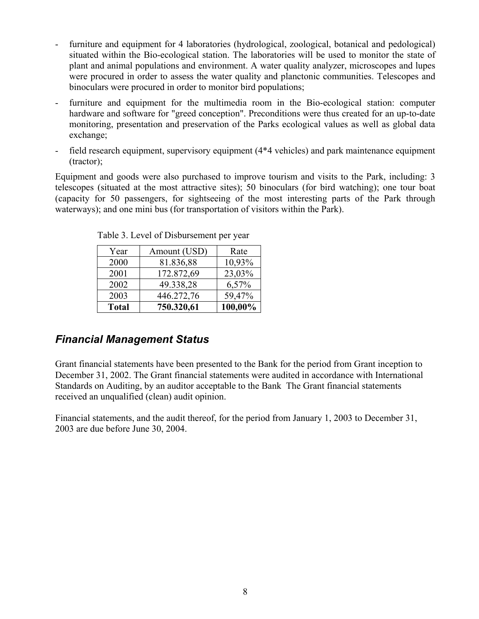- furniture and equipment for 4 laboratories (hydrological, zoological, botanical and pedological) situated within the Bio-ecological station. The laboratories will be used to monitor the state of plant and animal populations and environment. A water quality analyzer, microscopes and lupes were procured in order to assess the water quality and planctonic communities. Telescopes and binoculars were procured in order to monitor bird populations;
- furniture and equipment for the multimedia room in the Bio-ecological station: computer hardware and software for "greed conception". Preconditions were thus created for an up-to-date monitoring, presentation and preservation of the Parks ecological values as well as global data exchange;
- field research equipment, supervisory equipment (4\*4 vehicles) and park maintenance equipment (tractor);

Equipment and goods were also purchased to improve tourism and visits to the Park, including: 3 telescopes (situated at the most attractive sites); 50 binoculars (for bird watching); one tour boat (capacity for 50 passengers, for sightseeing of the most interesting parts of the Park through waterways); and one mini bus (for transportation of visitors within the Park).

| Year         | Amount (USD) | Rate    |
|--------------|--------------|---------|
| 2000         | 81.836,88    | 10,93%  |
| 2001         | 172.872,69   | 23,03%  |
| 2002         | 49.338,28    | 6,57%   |
| 2003         | 446.272,76   | 59,47%  |
| <b>Total</b> | 750.320,61   | 100,00% |

Table 3. Level of Disbursement per year

# <span id="page-9-0"></span>*Financial Management Status*

Grant financial statements have been presented to the Bank for the period from Grant inception to December 31, 2002. The Grant financial statements were audited in accordance with International Standards on Auditing, by an auditor acceptable to the Bank The Grant financial statements received an unqualified (clean) audit opinion.

Financial statements, and the audit thereof, for the period from January 1, 2003 to December 31, 2003 are due before June 30, 2004.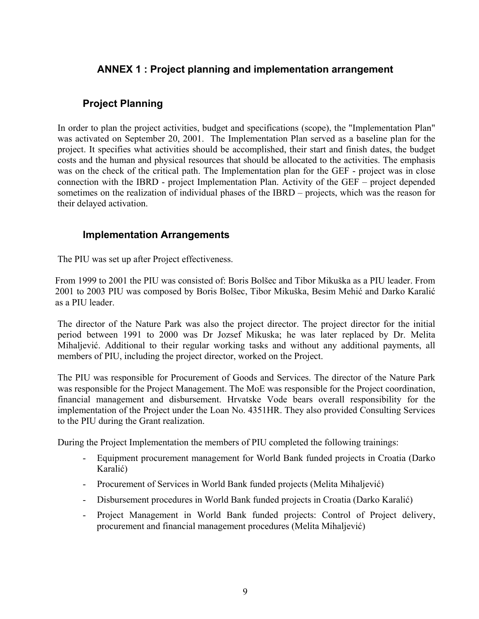### <span id="page-10-0"></span>**ANNEX 1 : Project planning and implementation arrangement**

### <span id="page-10-1"></span>**Project Planning**

In order to plan the project activities, budget and specifications (scope), the "Implementation Plan" was activated on September 20, 2001. The Implementation Plan served as a baseline plan for the project. It specifies what activities should be accomplished, their start and finish dates, the budget costs and the human and physical resources that should be allocated to the activities. The emphasis was on the check of the critical path. The Implementation plan for the GEF - project was in close connection with the IBRD - project Implementation Plan. Activity of the GEF – project depended sometimes on the realization of individual phases of the IBRD – projects, which was the reason for their delayed activation.

### <span id="page-10-2"></span>**Implementation Arrangements**

The PIU was set up after Project effectiveness.

From 1999 to 2001 the PIU was consisted of: Boris Bolšec and Tibor Mikuška as a PIU leader. From 2001 to 2003 PIU was composed by Boris Bolšec, Tibor Mikuška, Besim Mehić and Darko Karalić as a PIU leader.

The director of the Nature Park was also the project director. The project director for the initial period between 1991 to 2000 was Dr Jozsef Mikuska; he was later replaced by Dr. Melita Mihaljević. Additional to their regular working tasks and without any additional payments, all members of PIU, including the project director, worked on the Project.

The PIU was responsible for Procurement of Goods and Services. The director of the Nature Park was responsible for the Project Management. The MoE was responsible for the Project coordination, financial management and disbursement. Hrvatske Vode bears overall responsibility for the implementation of the Project under the Loan No. 4351HR. They also provided Consulting Services to the PIU during the Grant realization.

During the Project Implementation the members of PIU completed the following trainings:

- Equipment procurement management for World Bank funded projects in Croatia (Darko Karalić)
- Procurement of Services in World Bank funded projects (Melita Mihaljević)
- Disbursement procedures in World Bank funded projects in Croatia (Darko Karalić)
- Project Management in World Bank funded projects: Control of Project delivery, procurement and financial management procedures (Melita Mihaljević)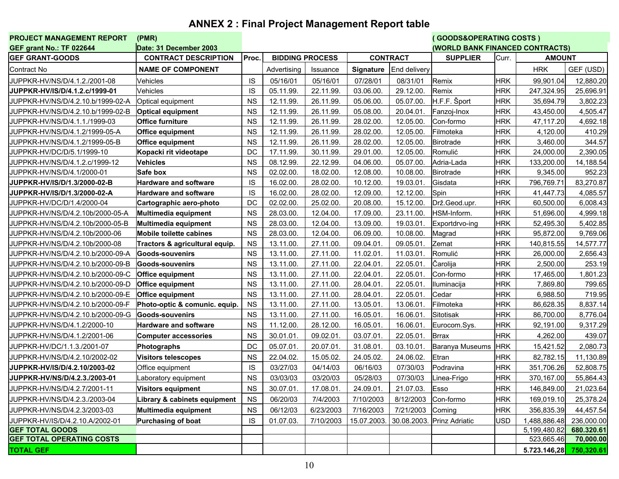# **ANNEX 2 : Final Project Management Report table**

<span id="page-11-0"></span>

| PROJECT MANAGEMENT REPORT             | (PMR)                          |           |                        |           |                  |                                 | (GOODS&OPERATING COSTS ) |            |                         |               |  |
|---------------------------------------|--------------------------------|-----------|------------------------|-----------|------------------|---------------------------------|--------------------------|------------|-------------------------|---------------|--|
| <b>GEF grant No.: TF 022644</b>       | Date: 31 December 2003         |           |                        |           |                  | (WORLD BANK FINANCED CONTRACTS) |                          |            |                         |               |  |
| <b>GEF GRANT-GOODS</b>                | <b>CONTRACT DESCRIPTION</b>    | Proc.     | <b>BIDDING PROCESS</b> |           | <b>CONTRACT</b>  |                                 | <b>SUPPLIER</b>          | Curr.      |                         | <b>AMOUNT</b> |  |
| Contract No                           | <b>NAME OF COMPONENT</b>       |           | Advertising            | Issuance  | <b>Signature</b> | End delivery                    |                          |            | <b>HRK</b>              | GEF (USD)     |  |
| JUPPKR-HV/NS/D/4.1.2./2001-08         | Vehicles                       | IS        | 05/16/01               | 05/16/01  | 07/28/01         | 08/31/01                        | Remix                    | <b>HRK</b> | 99,901.04               | 12,880.20     |  |
| <b>JUPPKR-HV/IS/D/4.1.2.c/1999-01</b> | Vehicles                       | IS        | 05.11.99.              | 22.11.99. | 03.06.00         | 29.12.00.                       | Remix                    | HRK        | 247,324.95              | 25,696.91     |  |
| JUPPKR-HV/NS/D/4.2.10.b/1999-02-A     | Optical equipment              | <b>NS</b> | 12.11.99.              | 26.11.99. | 05.06.00         | 05.07.00.                       | H.F.F. Šport             | <b>HRK</b> | 35,694.79               | 3,802.23      |  |
| JUPPKR-HV/NS/D/4.2.10.b/1999-02-B     | <b>Optical equipment</b>       | <b>NS</b> | 12.11.99.              | 26.11.99. | 05.08.00.        | 20.04.01.                       | Fanzoj-Inox              | <b>HRK</b> | 43,450.00               | 4,505.47      |  |
| JUPPKR-HV/NS/D/4.1.1./1999-03         | Office furniture               | <b>NS</b> | 12.11.99.              | 26.11.99. | 28.02.00.        | 12.05.00.                       | Con-formo                | <b>HRK</b> | 47,117.20               | 4,692.18      |  |
| JUPPKR-HV/NS/D/4.1.2/1999-05-A        | <b>Office equipment</b>        | <b>NS</b> | 12.11.99.              | 26.11.99. | 28.02.00.        | 12.05.00.                       | Filmoteka                | <b>HRK</b> | 4,120.00                | 410.29        |  |
| JUPPKR-HV/NS/D/4.1.2/1999-05-B        | Office equipment               | <b>NS</b> | 12.11.99.              | 26.11.99. | 28.02.00.        | 12.05.00.                       | Birotrade                | <b>HRK</b> | 3,460.00                | 344.57        |  |
| JUPPKR-HV/DC/D/5.1/1999-10            | Kopacki rit videotape          | DC        | 17.11.99.              | 30.11.99  | 29.01.00         | 12.05.00.                       | Romulić                  | HRK        | 24,000.00               | 2,390.05      |  |
| JUPPKR-HV/NS/D/4.1.2.c/1999-12        | <b>Vehicles</b>                | <b>NS</b> | 08.12.99.              | 22.12.99. | 04.06.00         | 05.07.00.                       | Adria-Lada               | <b>HRK</b> | 133,200.00              | 14,188.54     |  |
| JUPPKR-HV/NS/D/4.1/2000-01            | Safe box                       | <b>NS</b> | 02.02.00.              | 18.02.00  | 12.08.00.        | 10.08.00.                       | Birotrade                | <b>HRK</b> | 9,345.00                | 952.23        |  |
| <b>JUPPKR-HV/IS/D/1.3/2000-02-B</b>   | <b>Hardware and software</b>   | IS        | 16.02.00.              | 28.02.00  | 10.12.00.        | 19.03.01.                       | Gisdata                  | <b>HRK</b> | 796,769.71              | 83,270.87     |  |
| JUPPKR-HV/IS/D/1.3/2000-02-A          | <b>Hardware and software</b>   | <b>IS</b> | 16.02.00.              | 28.02.00  | 12.09.00.        | 12.12.00.                       | Spin                     | <b>HRK</b> | 41,447.73               | 4,085.57      |  |
| JUPPKR-HV/DC/D/1.4/2000-04            | Cartographic aero-photo        | DC        | 02.02.00.              | 25.02.00  | 20.08.00.        | 15.12.00.                       | Drž.Geod.upr.            | <b>HRK</b> | 60,500.00               | 6,008.43      |  |
| JUPPKR-HV/NS/D/4.2.10b/2000-05-A      | Multimedia equipment           | <b>NS</b> | 28.03.00.              | 12.04.00. | 17.09.00         | 23.11.00.                       | HSM-Inform.              | <b>HRK</b> | 51,696.00               | 4,999.18      |  |
| JUPPKR-HV/NS/D/4.2.10b/2000-05-B      | Multimedia equipment           | <b>NS</b> | 28.03.00.              | 12.04.00  | 13.09.00.        | 19.03.01.                       | Exportdrvo-ing           | <b>HRK</b> | 52,495.30               | 5,402.85      |  |
| JUPPKR-HV/NS/D/4.2.10b/2000-06        | <b>Mobile toilette cabines</b> | <b>NS</b> | 28.03.00.              | 12.04.00  | 06.09.00.        | 10.08.00.                       | Magrad                   | <b>HRK</b> | 95,872.00               | 9,769.06      |  |
| JUPPKR-HV/NS/D/4.2.10b/2000-08        | Tractors & agricultural equip. | <b>NS</b> | 13.11.00.              | 27.11.00  | 09.04.01.        | 09.05.01.                       | Zemat                    | <b>HRK</b> | 140,815.55              | 14,577.77     |  |
| JUPPKR-HV/NS/D/4.2.10.b/2000-09-A     | Goods-souvenirs                | <b>NS</b> | 13.11.00.              | 27.11.00  | 11.02.01.        | 11.03.01.                       | Romulić                  | <b>HRK</b> | 26,000.00               | 2,656.43      |  |
| JUPPKR-HV/NS/D/4.2.10.b/2000-09-B     | Goods-souvenirs                | <b>NS</b> | 13.11.00.              | 27.11.00  | 22.04.01.        | 22.05.01.                       | Čarolija                 | <b>HRK</b> | 2,500.00                | 253.19        |  |
| JUPPKR-HV/NS/D/4.2.10.b/2000-09-C     | <b>Office equipment</b>        | <b>NS</b> | 13.11.00.              | 27.11.00  | 22.04.01.        | 22.05.01.                       | Con-formo                | HRK        | 17,465.00               | 1,801.23      |  |
| JUPPKR-HV/NS/D/4.2.10.b/2000-09-D     | <b>Office equipment</b>        | <b>NS</b> | 13.11.00.              | 27.11.00. | 28.04.01.        | 22.05.01.                       | Iluminacija              | <b>HRK</b> | 7,869.80                | 799.65        |  |
| JUPPKR-HV/NS/D/4.2.10.b/2000-09-E     | Office equipment               | <b>NS</b> | 13.11.00.              | 27.11.00  | 28.04.01.        | 22.05.01.                       | Cedar                    | <b>HRK</b> | 6,988.50                | 719.95        |  |
| JUPPKR-HV/NS/D/4.2.10.b/2000-09-F     | Photo-optic & comunic. equip.  | <b>NS</b> | 13.11.00.              | 27.11.00  | 13.05.01.        | 13.06.01.                       | Filmoteka                | <b>HRK</b> | 86,628.35               | 8,837.14      |  |
| JUPPKR-HV/NS/D/4.2.10.b/2000-09-G     | Goods-souvenirs                | <b>NS</b> | 13.11.00.              | 27.11.00  | 16.05.01.        | 16.06.01.                       | Sitotisak                | <b>HRK</b> | 86,700.00               | 8,776.04      |  |
| JUPPKR-HV/NS/D/4.1.2/2000-10          | <b>Hardware and software</b>   | <b>NS</b> | 11.12.00.              | 28.12.00  | 16.05.01.        | 16.06.01.                       | Eurocom.Sys.             | <b>HRK</b> | 92,191.00               | 9,317.29      |  |
| JUPPKR-HV/NS/D/4.1.2/2001-06          | <b>Computer accessories</b>    | <b>NS</b> | 30.01.01.              | 09.02.01  | 03.07.01.        | 22.05.01.                       | <b>Brrax</b>             | <b>HRK</b> | 4,262.00                | 439.07        |  |
| JUPPKR-HV/DC/1.1.3./2001-07           | <b>Photographs</b>             | DC        | 05.07.01               | 20.07.01  | 31.08.01.        | 03.10.01.                       | <b>Baranya Museums</b>   | <b>HRK</b> | 15,421.52               | 2,080.73      |  |
| JUPPKR-HV/NS/D/4.2.10/2002-02         | <b>Visitors telescopes</b>     | <b>NS</b> | 22.04.02.              | 15.05.02. | 24.05.02.        | 24.06.02.                       | Etran                    | <b>HRK</b> | 82,782.15               | 11,130.89     |  |
| <b>JUPPKR-HV/IS/D/4.2.10/2003-02</b>  | Office equipment               | IS        | 03/27/03               | 04/14/03  | 06/16/03         | 07/30/03                        | Podravina                | <b>HRK</b> | 351,706.26              | 52,808.75     |  |
| <b>JUPPKR-HV/NS/D/4.2.3./2003-01</b>  | Laboratory equipment           | <b>NS</b> | 03/03/03               | 03/20/03  | 05/28/03         | 07/30/03                        | Linea-Frigo              | <b>HRK</b> | 370,167.00              | 55,864.43     |  |
| JUPPKR-HV/NS/D/4.2.7/2001-11          | Visitors equipment             | <b>NS</b> | 30.07.01.              | 17.08.01. | 24.09.01.        | 21.07.03.                       | Esso                     | <b>HRK</b> | 146,849.00              | 21,023.64     |  |
| JUPPKR-HV/NS/D/4.2.3./2003-04         | Library & cabinets equipment   | <b>NS</b> | 06/20/03               | 7/4/2003  | 7/10/2003        | 8/12/2003                       | Con-formo                | <b>HRK</b> | 169,019.10              | 25,378.24     |  |
| JUPPKR-HV/NS/D/4.2.3/2003-03          | Multimedia equipment           | <b>NS</b> | 06/12/03               | 6/23/2003 | 7/16/2003        | 7/21/2003                       | Coming                   | <b>HRK</b> | 356,835.39              | 44,457.54     |  |
| JUPPKR-HV/IS/D/4.2.10.A/2002-01       | Purchasing of boat             | IS        | 01.07.03.              | 7/10/2003 | 15.07.2003.      | 30.08.2003.                     | <b>Prinz Adriatic</b>    | <b>USD</b> | 1,488,886.48            | 236,000.00    |  |
| <b>GEF TOTAL GOODS</b>                |                                |           |                        |           |                  |                                 |                          |            | 5,199,480.82            | 680.320.61    |  |
| <b>GEF TOTAL OPERATING COSTS</b>      |                                |           |                        |           |                  |                                 |                          |            | 523,665.46              | 70,000.00     |  |
| <b>TOTAL GEF</b>                      |                                |           |                        |           |                  |                                 |                          |            | 5.723.146,28 750,320.61 |               |  |